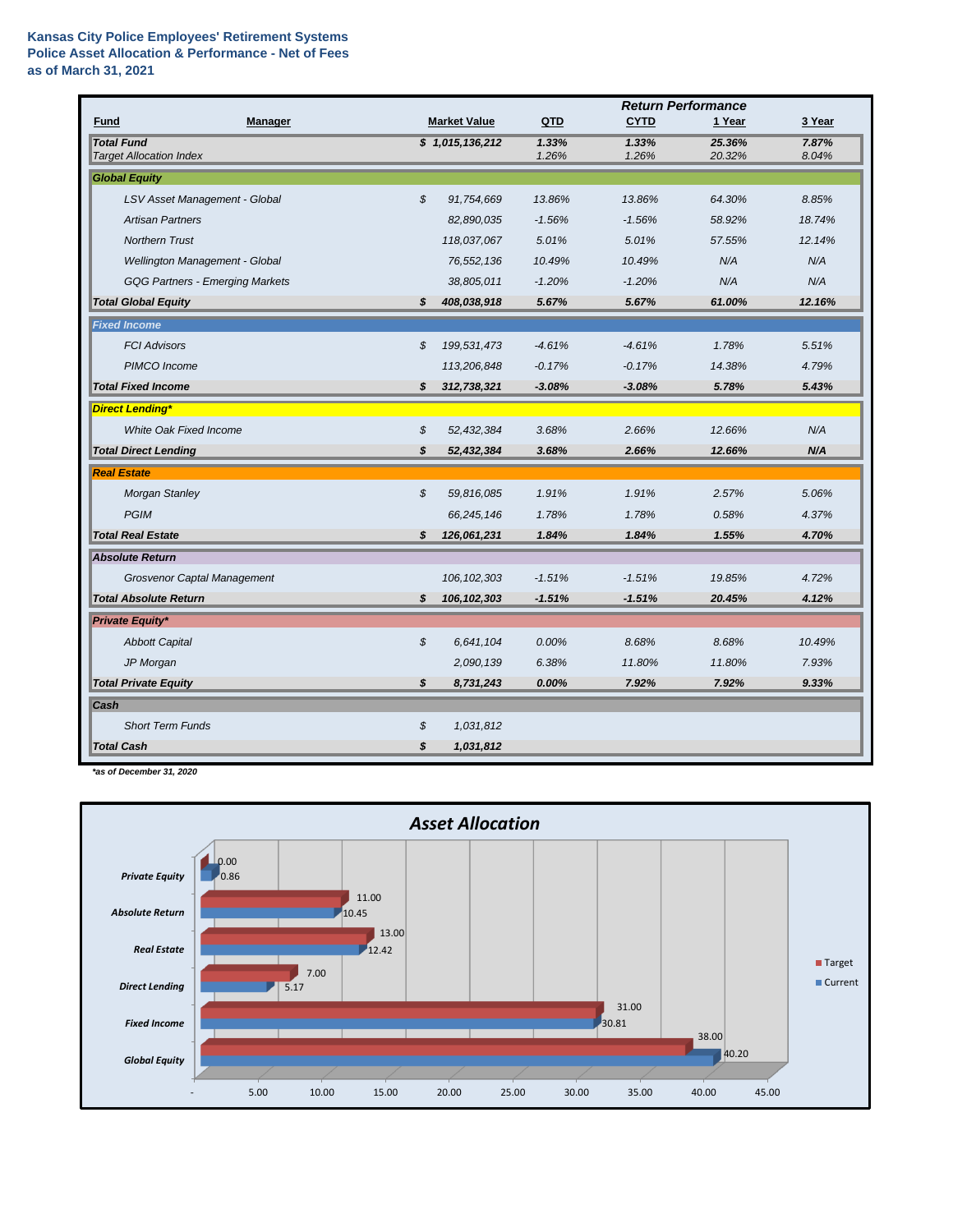## **Kansas City Police Employees' Retirement Systems Police Asset Allocation & Performance - Net of Fees as of March 31, 2021**

|                                                     |                     | <b>Return Performance</b> |                |                  |                |  |
|-----------------------------------------------------|---------------------|---------------------------|----------------|------------------|----------------|--|
| Fund<br><b>Manager</b>                              | <b>Market Value</b> | QTD                       | <b>CYTD</b>    | 1 Year           | 3 Year         |  |
| <b>Total Fund</b><br><b>Target Allocation Index</b> | \$1,015,136,212     | 1.33%<br>1.26%            | 1.33%<br>1.26% | 25.36%<br>20.32% | 7.87%<br>8.04% |  |
| <b>Global Equity</b>                                |                     |                           |                |                  |                |  |
|                                                     | \$                  |                           |                | 64.30%           |                |  |
| LSV Asset Management - Global                       | 91,754,669          | 13.86%                    | 13.86%         |                  | 8.85%          |  |
| <b>Artisan Partners</b>                             | 82,890,035          | $-1.56%$                  | $-1.56%$       | 58.92%           | 18.74%         |  |
| <b>Northern Trust</b>                               | 118,037,067         | 5.01%                     | 5.01%          | 57.55%           | 12.14%         |  |
| Wellington Management - Global                      | 76,552,136          | 10.49%                    | 10.49%         | N/A              | N/A            |  |
| <b>GQG Partners - Emerging Markets</b>              | 38,805,011          | $-1.20%$                  | $-1.20%$       | N/A              | N/A            |  |
| <b>Total Global Equity</b>                          | \$<br>408,038,918   | 5.67%                     | 5.67%          | 61.00%           | 12.16%         |  |
| <b>Fixed Income</b>                                 |                     |                           |                |                  |                |  |
| <b>FCI Advisors</b>                                 | \$<br>199,531,473   | $-4.61%$                  | $-4.61%$       | 1.78%            | 5.51%          |  |
| PIMCO Income                                        | 113,206,848         | $-0.17%$                  | $-0.17%$       | 14.38%           | 4.79%          |  |
| <b>Total Fixed Income</b>                           | \$<br>312,738,321   | $-3.08%$                  | $-3.08%$       | 5.78%            | 5.43%          |  |
| <b>Direct Lending*</b>                              |                     |                           |                |                  |                |  |
| <b>White Oak Fixed Income</b>                       | \$<br>52,432,384    | 3.68%                     | 2.66%          | 12.66%           | N/A            |  |
| <b>Total Direct Lending</b>                         | \$<br>52,432,384    | 3.68%                     | 2.66%          | 12.66%           | N/A            |  |
| <b>Real Estate</b>                                  |                     |                           |                |                  |                |  |
| <b>Morgan Stanley</b>                               | \$<br>59,816,085    | 1.91%                     | 1.91%          | 2.57%            | 5.06%          |  |
| <b>PGIM</b>                                         | 66,245,146          | 1.78%                     | 1.78%          | 0.58%            | 4.37%          |  |
| <b>Total Real Estate</b>                            | \$<br>126,061,231   | 1.84%                     | 1.84%          | 1.55%            | 4.70%          |  |
| <b>Absolute Return</b>                              |                     |                           |                |                  |                |  |
| Grosvenor Captal Management                         | 106, 102, 303       | $-1.51%$                  | $-1.51%$       | 19.85%           | 4.72%          |  |
| <b>Total Absolute Return</b>                        | \$<br>106, 102, 303 | $-1.51%$                  | $-1.51%$       | 20.45%           | 4.12%          |  |
| <b>Private Equity*</b>                              |                     |                           |                |                  |                |  |
| <b>Abbott Capital</b>                               | \$<br>6,641,104     | 0.00%                     | 8.68%          | 8.68%            | 10.49%         |  |
| JP Morgan                                           | 2,090,139           | 6.38%                     | 11.80%         | 11.80%           | 7.93%          |  |
| <b>Total Private Equity</b>                         | \$<br>8,731,243     | 0.00%                     | 7.92%          | 7.92%            | 9.33%          |  |
| Cash                                                |                     |                           |                |                  |                |  |
| <b>Short Term Funds</b>                             | \$<br>1,031,812     |                           |                |                  |                |  |
| <b>Total Cash</b>                                   | \$<br>1,031,812     |                           |                |                  |                |  |
|                                                     |                     |                           |                |                  |                |  |

*\*as of December 31, 2020*